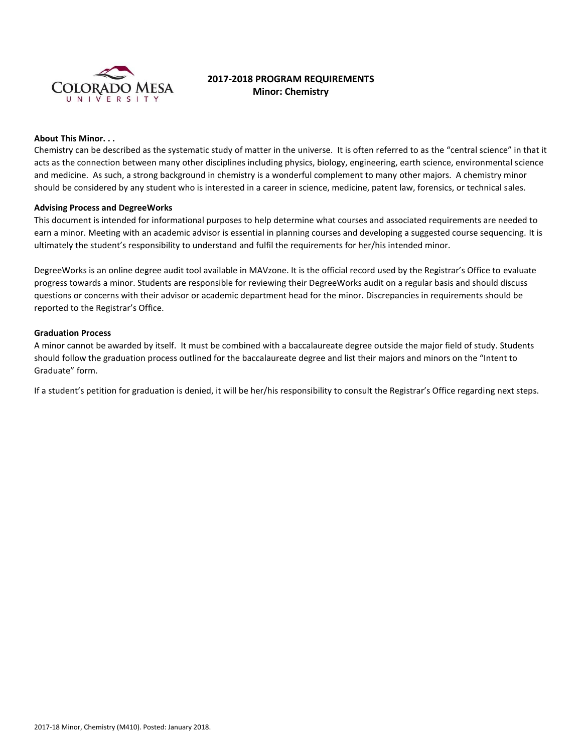

# **2017-2018 PROGRAM REQUIREMENTS Minor: Chemistry**

#### **About This Minor. . .**

Chemistry can be described as the systematic study of matter in the universe. It is often referred to as the "central science" in that it acts as the connection between many other disciplines including physics, biology, engineering, earth science, environmental science and medicine. As such, a strong background in chemistry is a wonderful complement to many other majors. A chemistry minor should be considered by any student who is interested in a career in science, medicine, patent law, forensics, or technical sales.

#### **Advising Process and DegreeWorks**

This document is intended for informational purposes to help determine what courses and associated requirements are needed to earn a minor. Meeting with an academic advisor is essential in planning courses and developing a suggested course sequencing. It is ultimately the student's responsibility to understand and fulfil the requirements for her/his intended minor.

DegreeWorks is an online degree audit tool available in MAVzone. It is the official record used by the Registrar's Office to evaluate progress towards a minor. Students are responsible for reviewing their DegreeWorks audit on a regular basis and should discuss questions or concerns with their advisor or academic department head for the minor. Discrepancies in requirements should be reported to the Registrar's Office.

#### **Graduation Process**

A minor cannot be awarded by itself. It must be combined with a baccalaureate degree outside the major field of study. Students should follow the graduation process outlined for the baccalaureate degree and list their majors and minors on the "Intent to Graduate" form.

If a student's petition for graduation is denied, it will be her/his responsibility to consult the Registrar's Office regarding next steps.